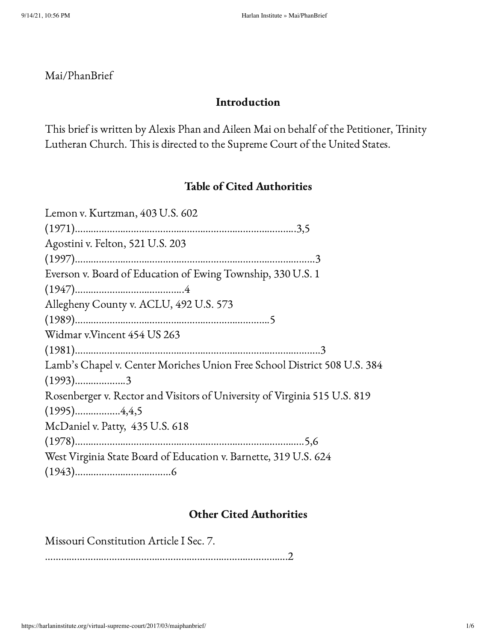# Mai/PhanBrief

# Introduction

This brief is written by Alexis Phan and Aileen Mai on behalf of the Petitioner, Trinity Lutheran Church. This is directed to the Supreme Court of the United States.

# Table of Cited Authorities

| Lemon v. Kurtzman, 403 U.S. 602                                           |
|---------------------------------------------------------------------------|
|                                                                           |
| Agostini v. Felton, 521 U.S. 203                                          |
|                                                                           |
| Everson v. Board of Education of Ewing Township, 330 U.S. 1               |
|                                                                           |
| Allegheny County v. ACLU, 492 U.S. 573                                    |
|                                                                           |
| Widmar v.Vincent 454 US 263                                               |
|                                                                           |
| Lamb's Chapel v. Center Moriches Union Free School District 508 U.S. 384  |
| $(1993)$ 3                                                                |
| Rosenberger v. Rector and Visitors of University of Virginia 515 U.S. 819 |
|                                                                           |
| McDaniel v. Patty, 435 U.S. 618                                           |
|                                                                           |
| West Virginia State Board of Education v. Barnette, 319 U.S. 624          |
|                                                                           |

# Other Cited Authorities

Missouri Constitution Article I Sec. 7.

……………………………………………………………………………….2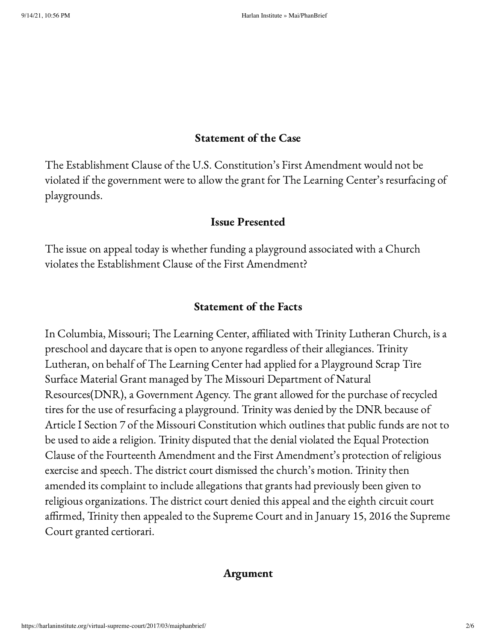#### Statement of the Case

The Establishment Clause of the U.S. Constitution's First Amendment would not be violated if the government were to allow the grant for The Learning Center's resurfacing of playgrounds.

#### Issue Presented

The issue on appeal today is whether funding a playground associated with a Church violates the Establishment Clause of the First Amendment?

### Statement of the Facts

In Columbia, Missouri; The Learning Center, affiliated with Trinity Lutheran Church, is a preschool and daycare that is open to anyone regardless of their allegiances. Trinity Lutheran, on behalf of The Learning Center had applied for a Playground Scrap Tire Surface Material Grant managed by The Missouri Department of Natural Resources(DNR), a Government Agency. The grant allowed for the purchase of recycled tires for the use of resurfacing a playground. Trinity was denied by the DNR because of Article I Section 7 of the Missouri Constitution which outlines that public funds are not to be used to aide a religion. Trinity disputed that the denial violated the Equal Protection Clause of the Fourteenth Amendment and the First Amendment's protection of religious exercise and speech. The district court dismissed the church's motion. Trinity then amended its complaint to include allegations that grants had previously been given to religious organizations. The district court denied this appeal and the eighth circuit court affirmed, Trinity then appealed to the Supreme Court and in January 15, 2016 the Supreme Court granted certiorari.

#### Argument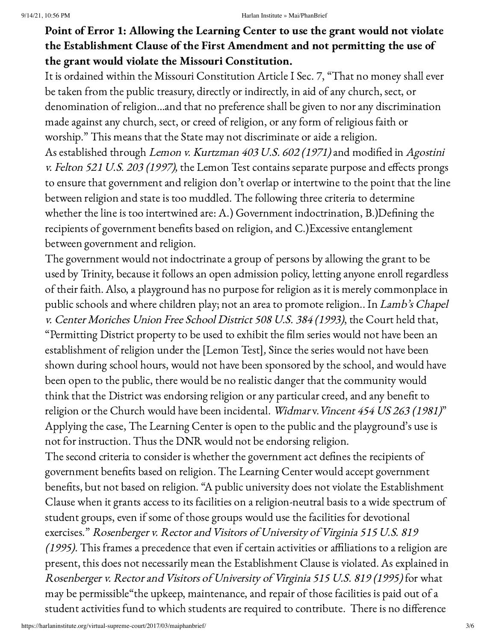# Point of Error 1: Allowing the Learning Center to use the grant would not violate the Establishment Clause of the First Amendment and not permitting the use of the grant would violate the Missouri Constitution.

It is ordained within the Missouri Constitution Article I Sec. 7, "That no money shall ever be taken from the public treasury, directly or indirectly, in aid of any church, sect, or denomination of religion…and that no preference shall be given to nor any discrimination made against any church, sect, or creed of religion, or any form of religious faith or worship." This means that the State may not discriminate or aide a religion. As established through Lemon v. Kurtzman 403 U.S. 602 (1971) and modified in Agostini v. Felton 521 U.S. 203 (1997), the Lemon Test contains separate purpose and effects prongs to ensure that government and religion don't overlap or intertwine to the point that the line between religion and state is too muddled. The following three criteria to determine whether the line is too intertwined are: A.) Government indoctrination, B.)Defining the recipients of government benefits based on religion, and C.)Excessive entanglement between government and religion.

The government would not indoctrinate a group of persons by allowing the grant to be used by Trinity, because it follows an open admission policy, letting anyone enroll regardless of their faith. Also, a playground has no purpose for religion as it is merely commonplace in public schools and where children play; not an area to promote religion.. In Lamb's Chapel v. Center Moriches Union Free School District <sup>508</sup> U.S. <sup>384</sup> (1993), the Court held that, "Permitting District property to be used to exhibit the film series would not have been an establishment of religion under the [Lemon Test], Since the series would not have been shown during school hours, would not have been sponsored by the school, and would have been open to the public, there would be no realistic danger that the community would think that the District was endorsing religion or any particular creed, and any benefit to religion or the Church would have been incidental. Widmar v. Vincent 454 US 263 (1981)" Applying the case, The Learning Center is open to the public and the playground's use is not for instruction. Thus the DNR would not be endorsing religion.

The second criteria to consider is whether the government act defines the recipients of government benefits based on religion. The Learning Center would accept government benefits, but not based on religion. "A public university does not violate the Establishment Clause when it grants access to its facilities on a religion-neutral basis to a wide spectrum of student groups, even if some of those groups would use the facilities for devotional exercises." Rosenberger v. Rector and Visitors of University of Virginia 515 U.S. 819 (1995). This frames a precedence that even if certain activities or affiliations to a religion are present, this does not necessarily mean the Establishment Clause is violated. As explained in Rosenberger v. Rector and Visitors of University of Virginia 515 U.S. 819 (1995) for what may be permissible"the upkeep, maintenance, and repair of those facilities is paid out of a student activities fund to which students are required to contribute. There is no difference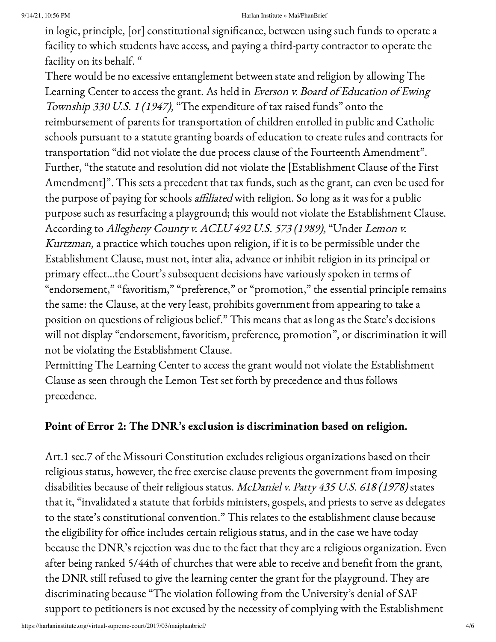#### 9/14/21, 10:56 PM Harlan Institute » Mai/PhanBrief

in logic, principle, [or] constitutional significance, between using such funds to operate a facility to which students have access, and paying a third-party contractor to operate the facility on its behalf. "

There would be no excessive entanglement between state and religion by allowing The Learning Center to access the grant. As held in Everson v. Board of Education of Ewing Township <sup>330</sup> U.S. 1 (1947), "The expenditure of tax raised funds" onto the reimbursement of parents for transportation of children enrolled in public and Catholic schools pursuant to a statute granting boards of education to create rules and contracts for transportation "did not violate the due process clause of the Fourteenth Amendment". Further, "the statute and resolution did not violate the [Establishment Clause of the First Amendment]". This sets a precedent that tax funds, such as the grant, can even be used for the purpose of paying for schools affiliated with religion. So long as it was for a public purpose such as resurfacing a playground; this would not violate the Establishment Clause. According to Allegheny County v. ACLU <sup>492</sup> U.S. <sup>573</sup> (1989), "Under Lemon v. Kurtzman, a practice which touches upon religion, if it is to be permissible under the Establishment Clause, must not, inter alia, advance or inhibit religion in its principal or primary effect…the Court's subsequent decisions have variously spoken in terms of "endorsement," "favoritism," "preference," or "promotion," the essential principle remains the same: the Clause, at the very least, prohibits government from appearing to take a position on questions of religious belief." This means that as long as the State's decisions will not display "endorsement, favoritism, preference, promotion", or discrimination it will not be violating the Establishment Clause.

Permitting The Learning Center to access the grant would not violate the Establishment Clause as seen through the Lemon Test set forth by precedence and thus follows precedence.

### Point of Error 2: The DNR's exclusion is discrimination based on religion.

Art.1 sec.7 of the Missouri Constitution excludes religious organizations based on their religious status, however, the free exercise clause prevents the government from imposing disabilities because of their religious status. McDaniel v. Patty 435 U.S. 618 (1978) states that it, "invalidated a statute that forbids ministers, gospels, and priests to serve as delegates to the state's constitutional convention." This relates to the establishment clause because the eligibility for office includes certain religious status, and in the case we have today because the DNR's rejection was due to the fact that they are a religious organization. Even after being ranked 5/44th of churches that were able to receive and benefit from the grant, the DNR still refused to give the learning center the grant for the playground. They are discriminating because "The violation following from the University's denial of SAF support to petitioners is not excused by the necessity of complying with the Establishment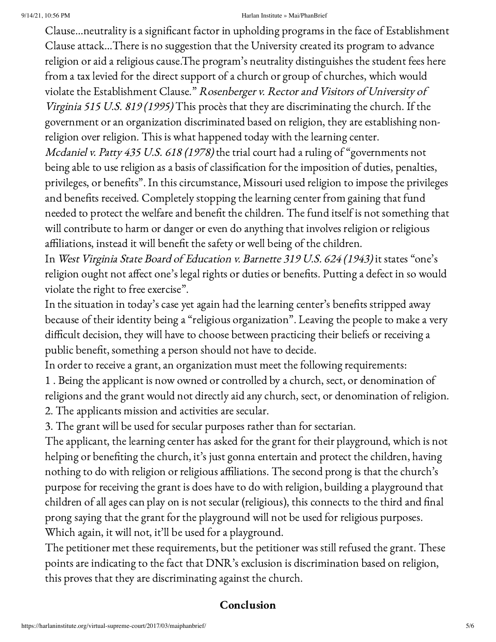#### 9/14/21, 10:56 PM Harlan Institute » Mai/PhanBrief

Clause…neutrality is a significant factor in upholding programs in the face of Establishment Clause attack…There is no suggestion that the University created its program to advance religion or aid a religious cause.The program's neutrality distinguishes the student fees here from a tax levied for the direct support of a church or group of churches, which would violate the Establishment Clause." Rosenberger v. Rectorand Visitors of University of Virginia <sup>515</sup> U.S. 819 (1995) This procès that they are discriminating the church. If the government or an organization discriminated based on religion, they are establishing nonreligion over religion. This is what happened today with the learning center. Mcdaniel v. Patty 435 U.S. 618 (1978) the trial court had a ruling of "governments not being able to use religion as a basis of classification for the imposition of duties, penalties, privileges, or benefits". In this circumstance, Missouri used religion to impose the privileges

and benefits received. Completely stopping the learning center from gaining that fund needed to protect the welfare and benefit the children. The fund itself is not something that will contribute to harm or danger or even do anything that involves religion or religious affiliations, instead it will benefit the safety or well being of the children.

In West Virginia State Board of Education v. Barnette <sup>319</sup> U.S. <sup>624</sup> (1943) it states "one's religion ought not affect one's legal rights or duties or benefits. Putting a defect in so would violate the right to free exercise".

In the situation in today's case yet again had the learning center's benefits stripped away because of their identity being a "religious organization". Leaving the people to make a very difficult decision, they will have to choose between practicing their beliefs or receiving a public benefit, something a person should not have to decide.

In order to receive a grant, an organization must meet the following requirements:

1 . Being the applicant is now owned or controlled by a church, sect, or denomination of religions and the grant would not directly aid any church, sect, or denomination of religion.

2. The applicants mission and activities are secular.

3. The grant will be used for secular purposes rather than for sectarian.

The applicant, the learning center has asked for the grant for their playground, which is not helping or benefiting the church, it's just gonna entertain and protect the children, having nothing to do with religion or religious affiliations. The second prong is that the church's purpose for receiving the grant is does have to do with religion, building a playground that children of all ages can play on is not secular (religious), this connects to the third and final prong saying that the grant for the playground will not be used for religious purposes. Which again, it will not, it'll be used for a playground.

The petitioner met these requirements, but the petitioner was still refused the grant. These points are indicating to the fact that DNR's exclusion is discrimination based on religion, this proves that they are discriminating against the church.

# Conclusion